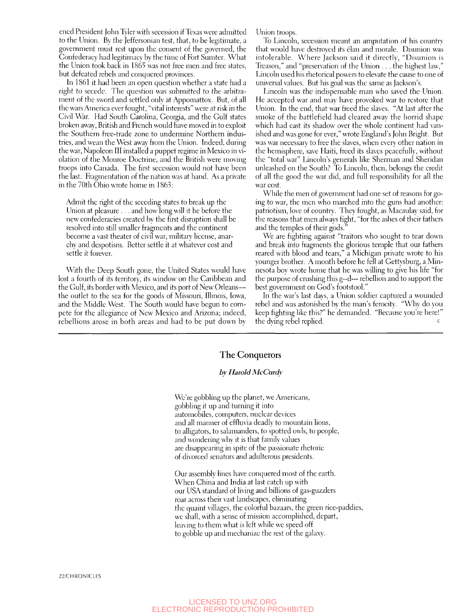encd President John Tyler with secession if Texas were admitted to the Union. By the Jeffersonian test, that, to be legitimate, a government must rest upon the consent of the governed, the Confederacy had legitimacy by the time of Fort Sumter. What the Union took back in 1865 was not free men and free states, but defeated rebels and conquered provinces.

In 1861 it had been an open question whether a state had a right to secede. The question was submitted to the arbitrament of the sword and settled only at Appomattox. But, of all the wars America ever fought, "vital interests" were at risk in the Civil War. Had South Carolina, Georgia, and the Gulf states broken away, British and French would have moved in to exploit the Southern free-trade zone to undermine Northern industries, and wean the West away from the Union. Indeed, during the war. Napoleon III installed a puppet regime in Mexico in violation of the Monroe Doctrine, and the British were moving troops into Canada. The first secession would not have been the last. Fragmentation of the nation was at hand. As a private in the 70th Ohio wrote home in 1863:

Admit the right of the seceding states to break up the Union at pleasure . . . and how long will it be before the new confederacies created by the first disruption shall be resolved into still smaller fragments and the continent become a vast theater of civil war, military license, anarchy and despotism. Better settle it at whatever cost and settle it forever.

With the Deep South gone, the United States would have lost a fourth of its territory, its window on the Caribbean and the Gulf, its border with Mexico, and its port of New Orleans the outlet to the sea for the goods of Missouri, Illinois, Iowa, and the Middle West. The South would have begun to compete for the allegiance of New Mexico and Arizona; indeed, rebellions arose in both areas and had to be put down by Union troops.

To Lincoln, secession meant an amputation of his countrv that would have destroyed its elan and morale. Disunion was intolerable. Where Jackson said it directly, "Disunion is Treason," and "preservation of the Union . . . the highest law," Lincoln used his rhetorical powers to elevate the cause to one of universal values. But his goal was the same as Jackson's.

Lincoln was the indispensable man who saved the Union. He accepted war and may have provoked war to restore that Union. In the end, that war freed the slaves. "At last after the smoke of the battlefield had cleared away the horrid shape which had cast its shadow over the whole continent had vanished and was gone for ever," wrote England's John Bright. But was war necessary to free the slaves, when every other nation in the hemisphere, save Haiti, freed its slaves peacefully, without the "total war" Lincoln's generals like Sherman and Sheridan unleashed on the South? To Lincoln, then, belongs the credit of all the good the war did, and full responsibility for all the war cost.

While the men of government had one set of reasons for going to war, the men who marched into the guns had another: patriotism, love of country. They fought, as Macaulay said, for the reasons that men always fight, "for the ashes of their fathers and the temples of their gods."

We are fighting against "traitors who sought to tear down and break into fragments the glorious temple that our fathers reared with blood and tears," a Michigan private wrote to his younger brother. A month before he fell at Gettysburg, a Minnesota boy wrote home that he was willing to give his life "for the purpose of crushing this g-d— rebellion and to support the best government on God's footstool."

In the war's last days, a Union soldier captured a wounded rebel and was astonished by the man's ferocity. "Why do you keep fighting like this?" he demanded. "Because you're here!" the dying rebel replied.

## The Conquerors

## *by Harold McCurdy*

We're gobbling up the planet, we Americans, gobbling it up and turning it into automobiles, computers, nuclear devices and all manner of effluvia deadly to mountain lions, to alligators, to salamanders, to spotted owls, to people, and wondering why it is that family values are disappearing in spite of the passionate rhetoric of divorced senators and adulterous presidents.

Our assembly lines have conquered most of the earth. When China and India at last catch up with our USA standard of living and billions of gas-guzzlers roar across their vast landscapes, eliminating the quaint villages, the colorful bazaars, the green rice-paddies, we shall, with a sense of mission accomplished, depart, leaving to them what is left while wc speed off to gobble up and mechanize the rest of the galaxy.